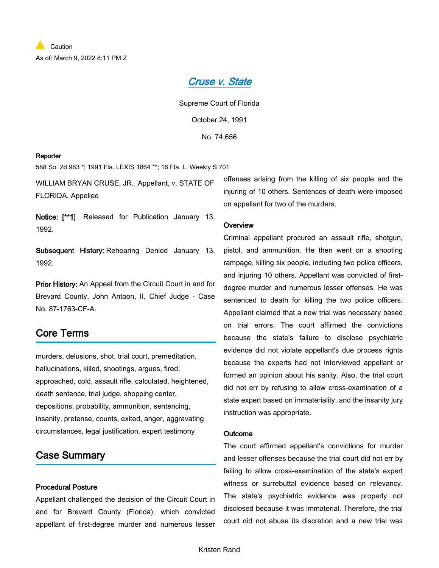# *[Cruse v. State](https://advance.lexis.com/api/document?collection=cases&id=urn:contentItem:3RX4-21M0-003F-34P8-00000-00&context=1000516)*

Supreme Court of Florida October 24, 1991

No. 74,656

#### **Reporter**

588 So. 2d 983 \*; 1991 Fla. LEXIS 1864 \*\*; 16 Fla. L. Weekly S 701

WILLIAM BRYAN CRUSE, JR., Appellant, v. STATE OF FLORIDA, Appellee

**Notice: [\*\*1]** Released for Publication January 13, 1992.

**Subsequent History:** Rehearing Denied January 13, 1992.

**Prior History:** An Appeal from the Circuit Court in and for Brevard County, John Antoon, II, Chief Judge - Case No. 87-1763-CF-A.

# **Core Terms**

murders, delusions, shot, trial court, premeditation, hallucinations, killed, shootings, argues, fired, approached, cold, assault rifle, calculated, heightened, death sentence, trial judge, shopping center, depositions, probability, ammunition, sentencing, insanity, pretense, counts, exited, anger, aggravating circumstances, legal justification, expert testimony

# **Case Summary**

### **Procedural Posture**

Appellant challenged the decision of the Circuit Court in and for Brevard County (Florida), which convicted appellant of first-degree murder and numerous lesser offenses arising from the killing of six people and the injuring of 10 others. Sentences of death were imposed on appellant for two of the murders.

### **Overview**

Criminal appellant procured an assault rifle, shotgun, pistol, and ammunition. He then went on a shooting rampage, killing six people, including two police officers, and injuring 10 others. Appellant was convicted of firstdegree murder and numerous lesser offenses. He was sentenced to death for killing the two police officers. Appellant claimed that a new trial was necessary based on trial errors. The court affirmed the convictions because the state's failure to disclose psychiatric evidence did not violate appellant's due process rights because the experts had not interviewed appellant or formed an opinion about his sanity. Also, the trial court did not err by refusing to allow cross-examination of a state expert based on immateriality, and the insanity jury instruction was appropriate.

### **Outcome**

The court affirmed appellant's convictions for murder and lesser offenses because the trial court did not err by failing to allow cross-examination of the state's expert witness or surrebuttal evidence based on relevancy. The state's psychiatric evidence was properly not disclosed because it was immaterial. Therefore, the trial court did not abuse its discretion and a new trial was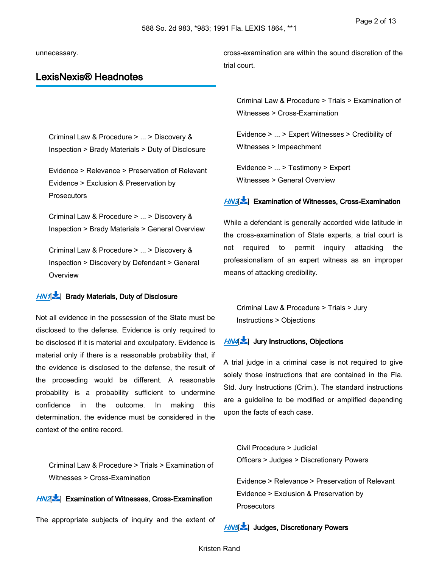unnecessary.

# **LexisNexis® Headnotes**

cross-examination are within the sound discretion of the trial court.

Criminal Law & Procedure > ... > Discovery &

Inspection > Brady Materials > Duty of Disclosure

Evidence > Relevance > Preservation of Relevant Evidence > Exclusion & Preservation by **Prosecutors** 

Criminal Law & Procedure > ... > Discovery & Inspection > Brady Materials > General Overview

Criminal Law & Procedure > ... > Discovery & Inspection > Discovery by Defendant > General **Overview** 

## *[HN1](https://advance.lexis.com/api/document?collection=cases&id=urn:contentItem:3RX4-21M0-003F-34P8-00000-00&context=1000516&link=LNHNREFclscc1)*[ ] **Brady Materials, Duty of Disclosure**

Not all evidence in the possession of the State must be disclosed to the defense. Evidence is only required to be disclosed if it is material and exculpatory. Evidence is material only if there is a reasonable probability that, if the evidence is disclosed to the defense, the result of the proceeding would be different. A reasonable probability is a probability sufficient to undermine confidence in the outcome. In making this determination, the evidence must be considered in the context of the entire record.

Criminal Law & Procedure > Trials > Examination of Witnesses > Cross-Examination

### *[HN2](https://advance.lexis.com/api/document?collection=cases&id=urn:contentItem:3RX4-21M0-003F-34P8-00000-00&context=1000516&link=LNHNREFclscc2)*[ ] **Examination of Witnesses, Cross-Examination**

The appropriate subjects of inquiry and the extent of

Criminal Law & Procedure > Trials > Examination of Witnesses > Cross-Examination

Evidence > ... > Expert Witnesses > Credibility of Witnesses > Impeachment

Evidence > ... > Testimony > Expert Witnesses > General Overview

## *[HN3](https://advance.lexis.com/api/document?collection=cases&id=urn:contentItem:3RX4-21M0-003F-34P8-00000-00&context=1000516&link=LNHNREFclscc3)*[ ] **Examination of Witnesses, Cross-Examination**

While a defendant is generally accorded wide latitude in the cross-examination of State experts, a trial court is not required to permit inquiry attacking the professionalism of an expert witness as an improper means of attacking credibility.

Criminal Law & Procedure > Trials > Jury Instructions > Objections

### *[HN4](https://advance.lexis.com/api/document?collection=cases&id=urn:contentItem:3RX4-21M0-003F-34P8-00000-00&context=1000516&link=LNHNREFclscc4)*[ ] **Jury Instructions, Objections**

A trial judge in a criminal case is not required to give solely those instructions that are contained in the Fla. Std. Jury Instructions (Crim.). The standard instructions are a guideline to be modified or amplified depending upon the facts of each case.

Civil Procedure > Judicial Officers > Judges > Discretionary Powers

Evidence > Relevance > Preservation of Relevant Evidence > Exclusion & Preservation by **Prosecutors** 

*[HN5](https://advance.lexis.com/api/document?collection=cases&id=urn:contentItem:3RX4-21M0-003F-34P8-00000-00&context=1000516&link=LNHNREFclscc5)*[ ] **Judges, Discretionary Powers**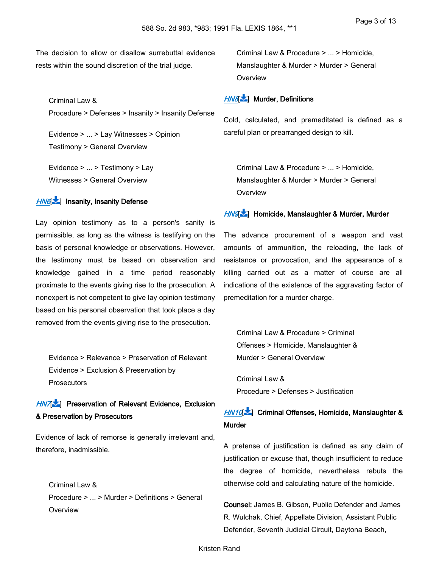The decision to allow or disallow surrebuttal evidence rests within the sound discretion of the trial judge.

Criminal Law & Procedure > Defenses > Insanity > Insanity Defense

Evidence > ... > Lay Witnesses > Opinion Testimony > General Overview

Evidence > ... > Testimony > Lay Witnesses > General Overview

## *[HN6](https://advance.lexis.com/api/document?collection=cases&id=urn:contentItem:3RX4-21M0-003F-34P8-00000-00&context=1000516&link=LNHNREFclscc6)*[ ] **Insanity, Insanity Defense**

Lay opinion testimony as to a person's sanity is permissible, as long as the witness is testifying on the basis of personal knowledge or observations. However, the testimony must be based on observation and knowledge gained in a time period reasonably proximate to the events giving rise to the prosecution. A nonexpert is not competent to give lay opinion testimony based on his personal observation that took place a day removed from the events giving rise to the prosecution.

Evidence > Relevance > Preservation of Relevant Evidence > Exclusion & Preservation by **Prosecutors** 

# *[HN7](https://advance.lexis.com/api/document?collection=cases&id=urn:contentItem:3RX4-21M0-003F-34P8-00000-00&context=1000516&link=LNHNREFclscc7)*[ ] **Preservation of Relevant Evidence, Exclusion & Preservation by Prosecutors**

Evidence of lack of remorse is generally irrelevant and, therefore, inadmissible.

Criminal Law & Procedure > ... > Murder > Definitions > General **Overview** 

Criminal Law & Procedure > ... > Homicide, Manslaughter & Murder > Murder > General **Overview** 

### *[HN8](https://advance.lexis.com/api/document?collection=cases&id=urn:contentItem:3RX4-21M0-003F-34P8-00000-00&context=1000516&link=LNHNREFclscc8)*[ ] **Murder, Definitions**

Cold, calculated, and premeditated is defined as a careful plan or prearranged design to kill.

Criminal Law & Procedure > ... > Homicide, Manslaughter & Murder > Murder > General **Overview** 

#### *[HN9](https://advance.lexis.com/api/document?collection=cases&id=urn:contentItem:3RX4-21M0-003F-34P8-00000-00&context=1000516&link=LNHNREFclscc9)*[ ] **Homicide, Manslaughter & Murder, Murder**

The advance procurement of a weapon and vast amounts of ammunition, the reloading, the lack of resistance or provocation, and the appearance of a killing carried out as a matter of course are all indications of the existence of the aggravating factor of premeditation for a murder charge.

<span id="page-2-0"></span>Criminal Law & Procedure > Criminal Offenses > Homicide, Manslaughter & Murder > General Overview

Criminal Law & Procedure > Defenses > Justification

# *[HN10](https://advance.lexis.com/api/document?collection=cases&id=urn:contentItem:3RX4-21M0-003F-34P8-00000-00&context=1000516&link=LNHNREFclscc10)*[\[](#page-10-0) ] **Criminal Offenses, Homicide, Manslaughter & Murder**

A pretense of justification is defined as any claim of justification or excuse that, though insufficient to reduce the degree of homicide, nevertheless rebuts the otherwise cold and calculating nature of the homicide.

**Counsel:** James B. Gibson, Public Defender and James R. Wulchak, Chief, Appellate Division, Assistant Public Defender, Seventh Judicial Circuit, Daytona Beach,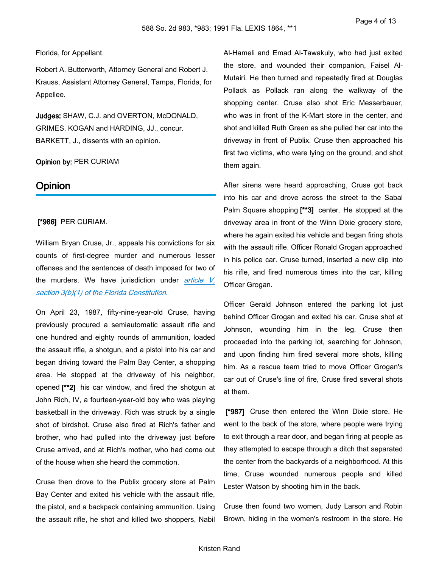#### Florida, for Appellant.

Robert A. Butterworth, Attorney General and Robert J. Krauss, Assistant Attorney General, Tampa, Florida, for Appellee.

**Judges:** SHAW, C.J. and OVERTON, McDONALD, GRIMES, KOGAN and HARDING, JJ., concur. BARKETT, J., dissents with an opinion.

### **Opinion by:** PER CURIAM

### **Opinion**

### **[\*986]** PER CURIAM.

William Bryan Cruse, Jr., appeals his convictions for six counts of first-degree murder and numerous lesser offenses and the sentences of death imposed for two of the murders. We have jurisdiction under *[article V,](https://advance.lexis.com/api/document?collection=statutes-legislation&id=urn:contentItem:5C24-NB51-6YGC-3555-00000-00&context=1000516)  [section 3\(b\)\(1\) of the Florida Constitution.](https://advance.lexis.com/api/document?collection=statutes-legislation&id=urn:contentItem:5C24-NB51-6YGC-3555-00000-00&context=1000516)*

On April 23, 1987, fifty-nine-year-old Cruse, having previously procured a semiautomatic assault rifle and one hundred and eighty rounds of ammunition, loaded the assault rifle, a shotgun, and a pistol into his car and began driving toward the Palm Bay Center, a shopping area. He stopped at the driveway of his neighbor, opened **[\*\*2]** his car window, and fired the shotgun at John Rich, IV, a fourteen-year-old boy who was playing basketball in the driveway. Rich was struck by a single shot of birdshot. Cruse also fired at Rich's father and brother, who had pulled into the driveway just before Cruse arrived, and at Rich's mother, who had come out of the house when she heard the commotion.

Cruse then drove to the Publix grocery store at Palm Bay Center and exited his vehicle with the assault rifle, the pistol, and a backpack containing ammunition. Using the assault rifle, he shot and killed two shoppers, Nabil Al-Hameli and Emad Al-Tawakuly, who had just exited the store, and wounded their companion, Faisel Al-Mutairi. He then turned and repeatedly fired at Douglas Pollack as Pollack ran along the walkway of the shopping center. Cruse also shot Eric Messerbauer, who was in front of the K-Mart store in the center, and shot and killed Ruth Green as she pulled her car into the driveway in front of Publix. Cruse then approached his first two victims, who were lying on the ground, and shot them again.

After sirens were heard approaching, Cruse got back into his car and drove across the street to the Sabal Palm Square shopping **[\*\*3]** center. He stopped at the driveway area in front of the Winn Dixie grocery store, where he again exited his vehicle and began firing shots with the assault rifle. Officer Ronald Grogan approached in his police car. Cruse turned, inserted a new clip into his rifle, and fired numerous times into the car, killing Officer Grogan.

Officer Gerald Johnson entered the parking lot just behind Officer Grogan and exited his car. Cruse shot at Johnson, wounding him in the leg. Cruse then proceeded into the parking lot, searching for Johnson, and upon finding him fired several more shots, killing him. As a rescue team tried to move Officer Grogan's car out of Cruse's line of fire, Cruse fired several shots at them.

 **[\*987]** Cruse then entered the Winn Dixie store. He went to the back of the store, where people were trying to exit through a rear door, and began firing at people as they attempted to escape through a ditch that separated the center from the backyards of a neighborhood. At this time, Cruse wounded numerous people and killed Lester Watson by shooting him in the back.

Cruse then found two women, Judy Larson and Robin Brown, hiding in the women's restroom in the store. He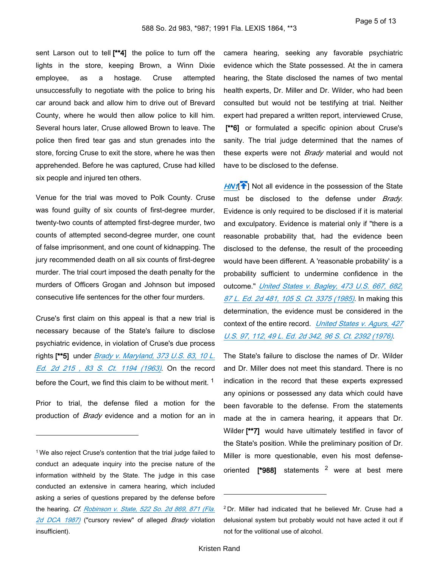sent Larson out to tell **[\*\*4]** the police to turn off the lights in the store, keeping Brown, a Winn Dixie employee, as a hostage. Cruse attempted unsuccessfully to negotiate with the police to bring his car around back and allow him to drive out of Brevard County, where he would then allow police to kill him. Several hours later, Cruse allowed Brown to leave. The police then fired tear gas and stun grenades into the store, forcing Cruse to exit the store, where he was then apprehended. Before he was captured, Cruse had killed six people and injured ten others.

Venue for the trial was moved to Polk County. Cruse was found guilty of six counts of first-degree murder, twenty-two counts of attempted first-degree murder, two counts of attempted second-degree murder, one count of false imprisonment, and one count of kidnapping. The jury recommended death on all six counts of first-degree murder. The trial court imposed the death penalty for the murders of Officers Grogan and Johnson but imposed consecutive life sentences for the other four murders.

Cruse's first claim on this appeal is that a new trial is necessary because of the State's failure to disclose psychiatric evidence, in violation of Cruse's due process rights **[\*\*5]** under *[Brady v. Maryland, 373 U.S. 83, 10 L.](https://advance.lexis.com/api/document?collection=cases&id=urn:contentItem:3S4X-H400-003B-S2NM-00000-00&context=1000516)  [Ed. 2d 215 , 83 S. Ct. 1194 \(1963\)](https://advance.lexis.com/api/document?collection=cases&id=urn:contentItem:3S4X-H400-003B-S2NM-00000-00&context=1000516)*. On the record before the Court, we find this claim to be without merit.<sup>1</sup>

Prior to trial, the defense filed a motion for the production of *Brady* evidence and a motion for an in camera hearing, seeking any favorable psychiatric evidence which the State possessed. At the in camera hearing, the State disclosed the names of two mental health experts, Dr. Miller and Dr. Wilder, who had been consulted but would not be testifying at trial. Neither expert had prepared a written report, interviewed Cruse, [\*\*6] or formulated a specific opinion about Cruse's sanity. The trial judge determined that the names of these experts were not *Brady* material and would not have to be disclosed to the defense.

**[HN1](https://advance.lexis.com/api/document?collection=cases&id=urn:contentItem:3RX4-21M0-003F-34P8-00000-00&context=1000516&link=clscc1)<sup>{</sup>** ] Not all evidence in the possession of the State must be disclosed to the defense under *Brady*. Evidence is only required to be disclosed if it is material and exculpatory. Evidence is material only if "there is a reasonable probability that, had the evidence been disclosed to the defense, the result of the proceeding would have been different. A 'reasonable probability' is a probability sufficient to undermine confidence in the outcome." *[United States v. Bagley, 473 U.S. 667, 682,](https://advance.lexis.com/api/document?collection=cases&id=urn:contentItem:3S4X-9WR0-0039-N477-00000-00&context=1000516)  [87 L. Ed. 2d 481, 105 S. Ct. 3375 \(1985\)](https://advance.lexis.com/api/document?collection=cases&id=urn:contentItem:3S4X-9WR0-0039-N477-00000-00&context=1000516)*. In making this determination, the evidence must be considered in the context of the entire record. *[United States v. Agurs, 427](https://advance.lexis.com/api/document?collection=cases&id=urn:contentItem:3S4X-9V60-003B-S20C-00000-00&context=1000516)  [U.S. 97, 112, 49 L. Ed. 2d 342, 96 S. Ct. 2392 \(1976\)](https://advance.lexis.com/api/document?collection=cases&id=urn:contentItem:3S4X-9V60-003B-S20C-00000-00&context=1000516)*.

The State's failure to disclose the names of Dr. Wilder and Dr. Miller does not meet this standard. There is no indication in the record that these experts expressed any opinions or possessed any data which could have been favorable to the defense. From the statements made at the in camera hearing, it appears that Dr. Wilder **[\*\*7]** would have ultimately testified in favor of the State's position. While the preliminary position of Dr. Miller is more questionable, even his most defenseoriented **[\*988]** statements <sup>2</sup> were at best mere

<sup>&</sup>lt;sup>1</sup> We also reject Cruse's contention that the trial judge failed to conduct an adequate inquiry into the precise nature of the information withheld by the State. The judge in this case conducted an extensive in camera hearing, which included asking a series of questions prepared by the defense before the hearing. *Cf. [Robinson v. State, 522 So. 2d 869, 871 \(Fla.](https://advance.lexis.com/api/document?collection=cases&id=urn:contentItem:3RRR-6270-003D-X0R5-00000-00&context=1000516)  [2d DCA 1987\)](https://advance.lexis.com/api/document?collection=cases&id=urn:contentItem:3RRR-6270-003D-X0R5-00000-00&context=1000516)* ("cursory review" of alleged *Brady* violation insufficient).

<sup>2</sup>Dr. Miller had indicated that he believed Mr. Cruse had a delusional system but probably would not have acted it out if not for the volitional use of alcohol.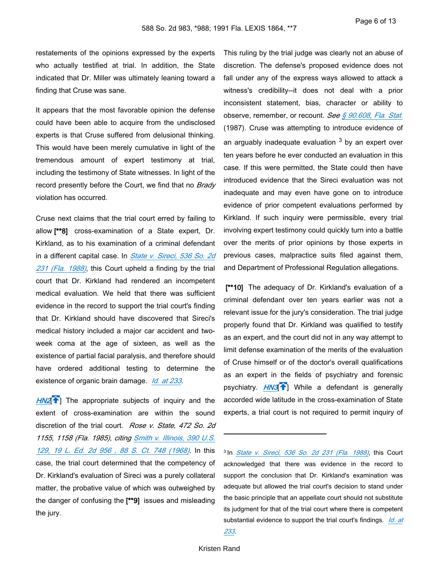restatements of the opinions expressed by the experts who actually testified at trial. In addition, the State indicated that Dr. Miller was ultimately leaning toward a finding that Cruse was sane.

It appears that the most favorable opinion the defense could have been able to acquire from the undisclosed experts is that Cruse suffered from delusional thinking. This would have been merely cumulative in light of the tremendous amount of expert testimony at trial, including the testimony of State witnesses. In light of the record presently before the Court, we find that no *Brady* violation has occurred.

Cruse next claims that the trial court erred by failing to allow **[\*\*8]** cross-examination of a State expert, Dr. Kirkland, as to his examination of a criminal defendant in a different capital case. In *[State v. Sireci, 536 So. 2d](https://advance.lexis.com/api/document?collection=cases&id=urn:contentItem:3RX4-2GP0-003F-301R-00000-00&context=1000516)  [231 \(Fla. 1988\)](https://advance.lexis.com/api/document?collection=cases&id=urn:contentItem:3RX4-2GP0-003F-301R-00000-00&context=1000516)*, this Court upheld a finding by the trial court that Dr. Kirkland had rendered an incompetent medical evaluation. We held that there was sufficient evidence in the record to support the trial court's finding that Dr. Kirkland should have discovered that Sireci's medical history included a major car accident and twoweek coma at the age of sixteen, as well as the existence of partial facial paralysis, and therefore should have ordered additional testing to determine the existence of organic brain damage. *[Id. at 233](https://advance.lexis.com/api/document?collection=cases&id=urn:contentItem:3RX4-2GP0-003F-301R-00000-00&context=1000516)*.

**[HN2](https://advance.lexis.com/api/document?collection=cases&id=urn:contentItem:3RX4-21M0-003F-34P8-00000-00&context=1000516&link=clscc2)<sup>[4]</sup>** The appropriate subjects of inquiry and the extent of cross-examination are within the sound discretion of the trial court. *Rose v. State, 472 So. 2d 1155, 1158 (Fla. 1985)*, *citing [Smith v. Illinois, 390 U.S.](https://advance.lexis.com/api/document?collection=cases&id=urn:contentItem:3S4X-FR20-003B-S1Y0-00000-00&context=1000516)  [129, 19 L. Ed. 2d 956 , 88 S. Ct. 748 \(1968\)](https://advance.lexis.com/api/document?collection=cases&id=urn:contentItem:3S4X-FR20-003B-S1Y0-00000-00&context=1000516)*. In this case, the trial court determined that the competency of Dr. Kirkland's evaluation of Sireci was a purely collateral matter, the probative value of which was outweighed by the danger of confusing the **[\*\*9]** issues and misleading the jury.

This ruling by the trial judge was clearly not an abuse of discretion. The defense's proposed evidence does not fall under any of the express ways allowed to attack a witness's credibility--it does not deal with a prior inconsistent statement, bias, character or ability to observe, remember, or recount. *See [§ 90.608, Fla. Stat.](https://advance.lexis.com/api/document?collection=statutes-legislation&id=urn:contentItem:5C24-M5P1-6SKW-D12N-00000-00&context=1000516)* (1987). Cruse was attempting to introduce evidence of an arguably inadequate evaluation <sup>3</sup> by an expert over ten years before he ever conducted an evaluation in this case. If this were permitted, the State could then have introduced evidence that the Sireci evaluation was not inadequate and may even have gone on to introduce evidence of prior competent evaluations performed by Kirkland. If such inquiry were permissible, every trial involving expert testimony could quickly turn into a battle over the merits of prior opinions by those experts in previous cases, malpractice suits filed against them, and Department of Professional Regulation allegations.

 **[\*\*10]** The adequacy of Dr. Kirkland's evaluation of a criminal defendant over ten years earlier was not a relevant issue for the jury's consideration. The trial judge properly found that Dr. Kirkland was qualified to testify as an expert, and the court did not in any way attempt to limit defense examination of the merits of the evaluation of Cruse himself or of the doctor's overall qualifications as an expert in the fields of psychiatry and forensic psychiatry. **[HN3](https://advance.lexis.com/api/document?collection=cases&id=urn:contentItem:3RX4-21M0-003F-34P8-00000-00&context=1000516&link=clscc3)<sup>1</sup>**] While a defendant is generally accorded wide latitude in the cross-examination of State experts, a trial court is not required to permit inquiry of

<sup>3</sup>In *[State v. Sireci, 536 So. 2d 231 \(Fla. 1988\)](https://advance.lexis.com/api/document?collection=cases&id=urn:contentItem:3RX4-2GP0-003F-301R-00000-00&context=1000516)*, this Court acknowledged that there was evidence in the record to support the conclusion that Dr. Kirkland's examination was adequate but allowed the trial court's decision to stand under the basic principle that an appellate court should not substitute its judgment for that of the trial court where there is competent substantial evidence to support the trial court's findings. *[Id. at](https://advance.lexis.com/api/document?collection=cases&id=urn:contentItem:3RX4-2GP0-003F-301R-00000-00&context=1000516)*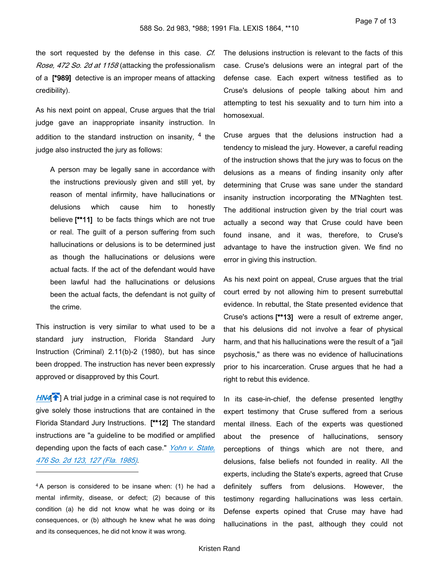the sort requested by the defense in this case. *Cf. Rose, 472 So. 2d at 1158* (attacking the professionalism of a **[\*989]** detective is an improper means of attacking credibility).

As his next point on appeal, Cruse argues that the trial judge gave an inappropriate insanity instruction. In addition to the standard instruction on insanity,  $4$  the judge also instructed the jury as follows:

A person may be legally sane in accordance with the instructions previously given and still yet, by reason of mental infirmity, have hallucinations or delusions which cause him to honestly believe **[\*\*11]** to be facts things which are not true or real. The guilt of a person suffering from such hallucinations or delusions is to be determined just as though the hallucinations or delusions were actual facts. If the act of the defendant would have been lawful had the hallucinations or delusions been the actual facts, the defendant is not guilty of the crime.

This instruction is very similar to what used to be a standard jury instruction, Florida Standard Jury Instruction (Criminal) 2.11(b)-2 (1980), but has since been dropped. The instruction has never been expressly approved or disapproved by this Court.

[HN4](https://advance.lexis.com/api/document?collection=cases&id=urn:contentItem:3RX4-21M0-003F-34P8-00000-00&context=1000516&link=clscc4)<sup><sup>1</sup></sup> A trial judge in a criminal case is not required to give solely those instructions that are contained in the Florida Standard Jury Instructions. **[\*\*12]** The standard instructions are "a guideline to be modified or amplified depending upon the facts of each case." *[Yohn v. State,](https://advance.lexis.com/api/document?collection=cases&id=urn:contentItem:3RRM-25P0-003C-X0R3-00000-00&context=1000516)  [476 So. 2d 123, 127 \(Fla. 1985\)](https://advance.lexis.com/api/document?collection=cases&id=urn:contentItem:3RRM-25P0-003C-X0R3-00000-00&context=1000516)*.

<sup>4</sup>A person is considered to be insane when: (1) he had a mental infirmity, disease, or defect; (2) because of this condition (a) he did not know what he was doing or its consequences, or (b) although he knew what he was doing and its consequences, he did not know it was wrong.

The delusions instruction is relevant to the facts of this case. Cruse's delusions were an integral part of the defense case. Each expert witness testified as to Cruse's delusions of people talking about him and attempting to test his sexuality and to turn him into a homosexual.

Cruse argues that the delusions instruction had a tendency to mislead the jury. However, a careful reading of the instruction shows that the jury was to focus on the delusions as a means of finding insanity only after determining that Cruse was sane under the standard insanity instruction incorporating the M'Naghten test. The additional instruction given by the trial court was actually a second way that Cruse could have been found insane, and it was, therefore, to Cruse's advantage to have the instruction given. We find no error in giving this instruction.

As his next point on appeal, Cruse argues that the trial court erred by not allowing him to present surrebuttal evidence. In rebuttal, the State presented evidence that Cruse's actions **[\*\*13]** were a result of extreme anger, that his delusions did not involve a fear of physical harm, and that his hallucinations were the result of a "jail psychosis," as there was no evidence of hallucinations prior to his incarceration. Cruse argues that he had a right to rebut this evidence.

In its case-in-chief, the defense presented lengthy expert testimony that Cruse suffered from a serious mental illness. Each of the experts was questioned about the presence of hallucinations, sensory perceptions of things which are not there, and delusions, false beliefs not founded in reality. All the experts, including the State's experts, agreed that Cruse definitely suffers from delusions. However, the testimony regarding hallucinations was less certain. Defense experts opined that Cruse may have had hallucinations in the past, although they could not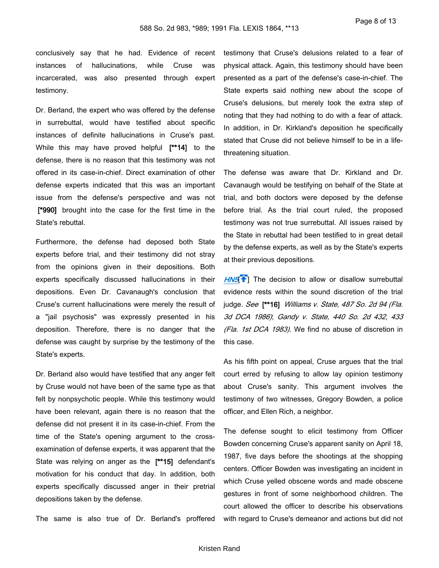conclusively say that he had. Evidence of recent instances of hallucinations, while Cruse was incarcerated, was also presented through expert testimony.

Dr. Berland, the expert who was offered by the defense in surrebuttal, would have testified about specific instances of definite hallucinations in Cruse's past. While this may have proved helpful **[\*\*14]** to the defense, there is no reason that this testimony was not offered in its case-in-chief. Direct examination of other defense experts indicated that this was an important issue from the defense's perspective and was not  **[\*990]** brought into the case for the first time in the State's rebuttal.

Furthermore, the defense had deposed both State experts before trial, and their testimony did not stray from the opinions given in their depositions. Both experts specifically discussed hallucinations in their depositions. Even Dr. Cavanaugh's conclusion that Cruse's current hallucinations were merely the result of a "jail psychosis" was expressly presented in his deposition. Therefore, there is no danger that the defense was caught by surprise by the testimony of the State's experts.

Dr. Berland also would have testified that any anger felt by Cruse would not have been of the same type as that felt by nonpsychotic people. While this testimony would have been relevant, again there is no reason that the defense did not present it in its case-in-chief. From the time of the State's opening argument to the crossexamination of defense experts, it was apparent that the State was relying on anger as the **[\*\*15]** defendant's motivation for his conduct that day. In addition, both experts specifically discussed anger in their pretrial depositions taken by the defense.

The same is also true of Dr. Berland's proffered

testimony that Cruse's delusions related to a fear of physical attack. Again, this testimony should have been presented as a part of the defense's case-in-chief. The State experts said nothing new about the scope of Cruse's delusions, but merely took the extra step of noting that they had nothing to do with a fear of attack. In addition, in Dr. Kirkland's deposition he specifically stated that Cruse did not believe himself to be in a lifethreatening situation.

The defense was aware that Dr. Kirkland and Dr. Cavanaugh would be testifying on behalf of the State at trial, and both doctors were deposed by the defense before trial. As the trial court ruled, the proposed testimony was not true surrebuttal. All issues raised by the State in rebuttal had been testified to in great detail by the defense experts, as well as by the State's experts at their previous depositions.

[HN5](https://advance.lexis.com/api/document?collection=cases&id=urn:contentItem:3RX4-21M0-003F-34P8-00000-00&context=1000516&link=clscc5)<sup><sup>1</sup></sup> The decision to allow or disallow surrebuttal evidence rests within the sound discretion of the trial judge. *See* **[\*\*16]** *Williams v. State, 487 So. 2d 94 (Fla. 3d DCA 1986)*; *Gandy v. State, 440 So. 2d 432, 433 (Fla. 1st DCA 1983)*. We find no abuse of discretion in this case.

As his fifth point on appeal, Cruse argues that the trial court erred by refusing to allow lay opinion testimony about Cruse's sanity. This argument involves the testimony of two witnesses, Gregory Bowden, a police officer, and Ellen Rich, a neighbor.

The defense sought to elicit testimony from Officer Bowden concerning Cruse's apparent sanity on April 18, 1987, five days before the shootings at the shopping centers. Officer Bowden was investigating an incident in which Cruse yelled obscene words and made obscene gestures in front of some neighborhood children. The court allowed the officer to describe his observations with regard to Cruse's demeanor and actions but did not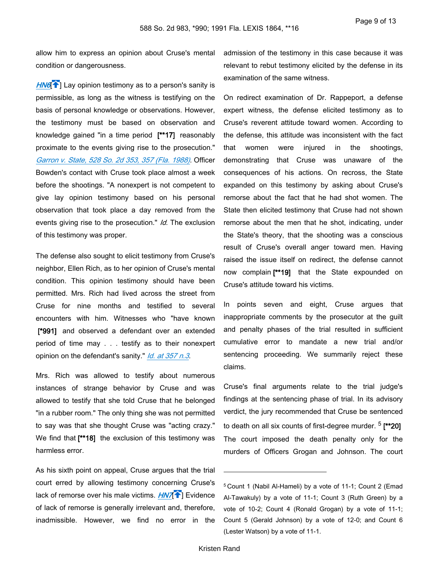allow him to express an opinion about Cruse's mental condition or dangerousness.

*[HN6](https://advance.lexis.com/api/document?collection=cases&id=urn:contentItem:3RX4-21M0-003F-34P8-00000-00&context=1000516&link=clscc6)*<sup> $\uparrow$ </sup>] Lay opinion testimony as to a person's sanity is permissible, as long as the witness is testifying on the basis of personal knowledge or observations. However, the testimony must be based on observation and knowledge gained "in a time period **[\*\*17]** reasonably proximate to the events giving rise to the prosecution." *[Garron v. State, 528 So. 2d 353, 357 \(Fla. 1988\)](https://advance.lexis.com/api/document?collection=cases&id=urn:contentItem:3RX4-2MV0-003F-313H-00000-00&context=1000516)*. Officer Bowden's contact with Cruse took place almost a week before the shootings. "A nonexpert is not competent to give lay opinion testimony based on his personal observation that took place a day removed from the events giving rise to the prosecution." *Id.* The exclusion of this testimony was proper.

The defense also sought to elicit testimony from Cruse's neighbor, Ellen Rich, as to her opinion of Cruse's mental condition. This opinion testimony should have been permitted. Mrs. Rich had lived across the street from Cruse for nine months and testified to several encounters with him. Witnesses who "have known  **[\*991]** and observed a defendant over an extended period of time may . . . testify as to their nonexpert opinion on the defendant's sanity." *[Id. at 357 n.3](https://advance.lexis.com/api/document?collection=cases&id=urn:contentItem:3RX4-2MV0-003F-313H-00000-00&context=1000516)*.

Mrs. Rich was allowed to testify about numerous instances of strange behavior by Cruse and was allowed to testify that she told Cruse that he belonged "in a rubber room." The only thing she was not permitted to say was that she thought Cruse was "acting crazy." We find that **[\*\*18]** the exclusion of this testimony was harmless error.

As his sixth point on appeal, Cruse argues that the trial court erred by allowing testimony concerning Cruse's lack of remorse over his male victims. *[HN7](https://advance.lexis.com/api/document?collection=cases&id=urn:contentItem:3RX4-21M0-003F-34P8-00000-00&context=1000516&link=clscc7)*<sup>1</sup> Evidence of lack of remorse is generally irrelevant and, therefore, inadmissible. However, we find no error in the

admission of the testimony in this case because it was relevant to rebut testimony elicited by the defense in its examination of the same witness.

On redirect examination of Dr. Rappeport, a defense expert witness, the defense elicited testimony as to Cruse's reverent attitude toward women. According to the defense, this attitude was inconsistent with the fact that women were injured in the shootings, demonstrating that Cruse was unaware of the consequences of his actions. On recross, the State expanded on this testimony by asking about Cruse's remorse about the fact that he had shot women. The State then elicited testimony that Cruse had not shown remorse about the men that he shot, indicating, under the State's theory, that the shooting was a conscious result of Cruse's overall anger toward men. Having raised the issue itself on redirect, the defense cannot now complain **[\*\*19]** that the State expounded on Cruse's attitude toward his victims.

In points seven and eight, Cruse argues that inappropriate comments by the prosecutor at the guilt and penalty phases of the trial resulted in sufficient cumulative error to mandate a new trial and/or sentencing proceeding. We summarily reject these claims.

Cruse's final arguments relate to the trial judge's findings at the sentencing phase of trial. In its advisory verdict, the jury recommended that Cruse be sentenced to death on all six counts of first-degree murder. <sup>5</sup>  **[\*\*20]**  The court imposed the death penalty only for the murders of Officers Grogan and Johnson. The court

<sup>5</sup>Count 1 (Nabil Al-Hameli) by a vote of 11-1; Count 2 (Emad Al-Tawakuly) by a vote of 11-1; Count 3 (Ruth Green) by a vote of 10-2; Count 4 (Ronald Grogan) by a vote of 11-1; Count 5 (Gerald Johnson) by a vote of 12-0; and Count 6 (Lester Watson) by a vote of 11-1.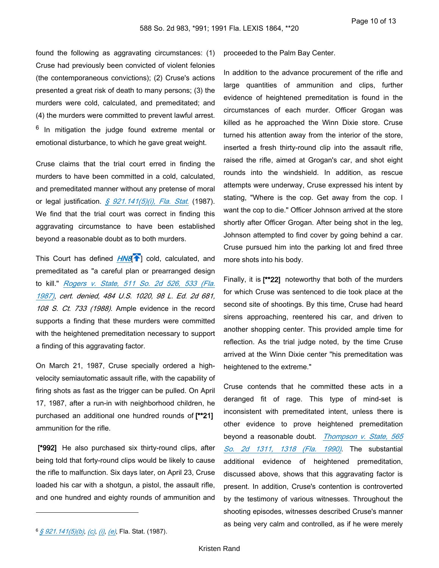found the following as aggravating circumstances: (1) Cruse had previously been convicted of violent felonies (the contemporaneous convictions); (2) Cruse's actions presented a great risk of death to many persons; (3) the murders were cold, calculated, and premeditated; and (4) the murders were committed to prevent lawful arrest. <sup>6</sup> In mitigation the judge found extreme mental or emotional disturbance, to which he gave great weight.

Cruse claims that the trial court erred in finding the murders to have been committed in a cold, calculated, and premeditated manner without any pretense of moral or legal justification. *[§ 921.141\(5\)\(i\), Fla. Stat.](https://advance.lexis.com/api/document?collection=statutes-legislation&id=urn:contentItem:8VW8-RW72-8T6X-72HS-00000-00&context=1000516)* (1987). We find that the trial court was correct in finding this aggravating circumstance to have been established beyond a reasonable doubt as to both murders.

This Court has defined *[HN8](https://advance.lexis.com/api/document?collection=cases&id=urn:contentItem:3RX4-21M0-003F-34P8-00000-00&context=1000516&link=clscc8)*<sup>[4]</sup>] cold, calculated, and premeditated as "a careful plan or prearranged design to kill." *[Rogers v. State, 511 So. 2d 526, 533 \(Fla.](https://advance.lexis.com/api/document?collection=cases&id=urn:contentItem:3RRM-XHW0-003D-X0T2-00000-00&context=1000516)  [1987\)](https://advance.lexis.com/api/document?collection=cases&id=urn:contentItem:3RRM-XHW0-003D-X0T2-00000-00&context=1000516)*, *cert. denied, 484 U.S. 1020, 98 L. Ed. 2d 681, 108 S. Ct. 733 (1988)*. Ample evidence in the record supports a finding that these murders were committed with the heightened premeditation necessary to support a finding of this aggravating factor.

On March 21, 1987, Cruse specially ordered a highvelocity semiautomatic assault rifle, with the capability of firing shots as fast as the trigger can be pulled. On April 17, 1987, after a run-in with neighborhood children, he purchased an additional one hundred rounds of **[\*\*21]**  ammunition for the rifle.

 **[\*992]** He also purchased six thirty-round clips, after being told that forty-round clips would be likely to cause the rifle to malfunction. Six days later, on April 23, Cruse loaded his car with a shotgun, a pistol, the assault rifle, and one hundred and eighty rounds of ammunition and

proceeded to the Palm Bay Center.

In addition to the advance procurement of the rifle and large quantities of ammunition and clips, further evidence of heightened premeditation is found in the circumstances of each murder. Officer Grogan was killed as he approached the Winn Dixie store. Cruse turned his attention away from the interior of the store, inserted a fresh thirty-round clip into the assault rifle, raised the rifle, aimed at Grogan's car, and shot eight rounds into the windshield. In addition, as rescue attempts were underway, Cruse expressed his intent by stating, "Where is the cop. Get away from the cop. I want the cop to die." Officer Johnson arrived at the store shortly after Officer Grogan. After being shot in the leg, Johnson attempted to find cover by going behind a car. Cruse pursued him into the parking lot and fired three more shots into his body.

Finally, it is **[\*\*22]** noteworthy that both of the murders for which Cruse was sentenced to die took place at the second site of shootings. By this time, Cruse had heard sirens approaching, reentered his car, and driven to another shopping center. This provided ample time for reflection. As the trial judge noted, by the time Cruse arrived at the Winn Dixie center "his premeditation was heightened to the extreme."

Cruse contends that he committed these acts in a deranged fit of rage. This type of mind-set is inconsistent with premeditated intent, unless there is other evidence to prove heightened premeditation beyond a reasonable doubt. *[Thompson v. State, 565](https://advance.lexis.com/api/document?collection=cases&id=urn:contentItem:3RX4-2860-003F-32NC-00000-00&context=1000516)  [So. 2d 1311, 1318 \(Fla. 1990\)](https://advance.lexis.com/api/document?collection=cases&id=urn:contentItem:3RX4-2860-003F-32NC-00000-00&context=1000516)*. The substantial additional evidence of heightened premeditation, discussed above, shows that this aggravating factor is present. In addition, Cruse's contention is controverted by the testimony of various witnesses. Throughout the shooting episodes, witnesses described Cruse's manner as being very calm and controlled, as if he were merely

<sup>6</sup>*[§ 921.141\(5\)\(b\)](https://advance.lexis.com/api/document?collection=statutes-legislation&id=urn:contentItem:8VW8-RW72-8T6X-72HS-00000-00&context=1000516)*, *[\(c\)](https://advance.lexis.com/api/document?collection=statutes-legislation&id=urn:contentItem:8VW8-RW72-8T6X-72HS-00000-00&context=1000516)*, *[\(i\)](https://advance.lexis.com/api/document?collection=statutes-legislation&id=urn:contentItem:8VW8-RW72-8T6X-72HS-00000-00&context=1000516)*, *[\(e\)](https://advance.lexis.com/api/document?collection=statutes-legislation&id=urn:contentItem:8VW8-RW72-8T6X-72HS-00000-00&context=1000516)*, Fla. Stat. (1987).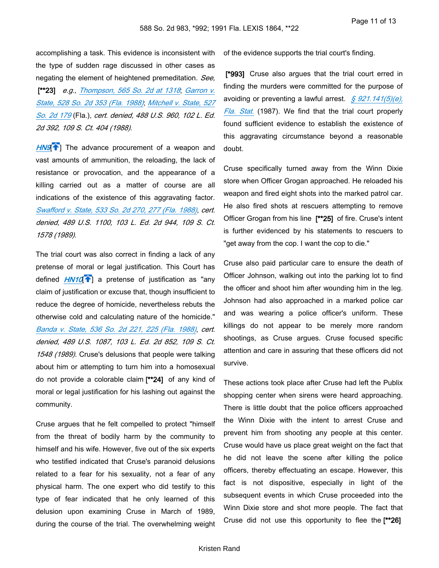accomplishing a task. This evidence is inconsistent with the type of sudden rage discussed in other cases as negating the element of heightened premeditation. *See,*

 **[\*\*23]** *e.g., [Thompson, 565 So. 2d at 1318](https://advance.lexis.com/api/document?collection=cases&id=urn:contentItem:3RX4-2860-003F-32NC-00000-00&context=1000516)*; *[Garron v.](https://advance.lexis.com/api/document?collection=cases&id=urn:contentItem:3RX4-2MV0-003F-313H-00000-00&context=1000516)  [State, 528 So. 2d 353 \(Fla. 1988\)](https://advance.lexis.com/api/document?collection=cases&id=urn:contentItem:3RX4-2MV0-003F-313H-00000-00&context=1000516)*; *[Mitchell v. State, 527](https://advance.lexis.com/api/document?collection=cases&id=urn:contentItem:3RX4-2MV0-003F-313R-00000-00&context=1000516)  [So. 2d 179](https://advance.lexis.com/api/document?collection=cases&id=urn:contentItem:3RX4-2MV0-003F-313R-00000-00&context=1000516)* (Fla.), *cert. denied, 488 U.S. 960, 102 L. Ed. 2d 392, 109 S. Ct. 404 (1988)*.

[HN9](https://advance.lexis.com/api/document?collection=cases&id=urn:contentItem:3RX4-21M0-003F-34P8-00000-00&context=1000516&link=clscc9)<sup><sup>2</sup></sub>] The advance procurement of a weapon and</sup> vast amounts of ammunition, the reloading, the lack of resistance or provocation, and the appearance of a killing carried out as a matter of course are all indications of the existence of this aggravating factor. *[Swafford v. State, 533 So. 2d 270, 277 \(Fla. 1988\)](https://advance.lexis.com/api/document?collection=cases&id=urn:contentItem:3RX4-2J40-003F-30FF-00000-00&context=1000516)*, *cert. denied, 489 U.S. 1100, 103 L. Ed. 2d 944, 109 S. Ct. 1578 (1989)*.

<span id="page-10-0"></span>The trial court was also correct in finding a lack of any pretense of moral or legal justification. This Court has defined *[HN10](https://advance.lexis.com/api/document?collection=cases&id=urn:contentItem:3RX4-21M0-003F-34P8-00000-00&context=1000516&link=clscc10)*<sup>1</sup> a pretense of justification as "any claim of justification or excuse that, though insufficient to reduce the degree of homicide, nevertheless rebuts the otherwise cold and calculating nature of the homicide." *[Banda v. State, 536 So. 2d 221, 225 \(Fla. 1988\)](https://advance.lexis.com/api/document?collection=cases&id=urn:contentItem:3RX4-2M00-003F-30T6-00000-00&context=1000516)*, *cert. denied, 489 U.S. 1087, 103 L. Ed. 2d 852, 109 S. Ct. 1548 (1989)*. Cruse's delusions that people were talking about him or attempting to turn him into a homosexual do not provide a colorable claim **[\*\*24]** of any kind of moral or legal justification for his lashing out against the community.

Cruse argues that he felt compelled to protect "himself from the threat of bodily harm by the community to himself and his wife. However, five out of the six experts who testified indicated that Cruse's paranoid delusions related to a fear for his sexuality, not a fear of any physical harm. The one expert who did testify to this type of fear indicated that he only learned of this delusion upon examining Cruse in March of 1989, during the course of the trial. The overwhelming weight of the evidence supports the trial court's finding.

 **[\*993]** Cruse also argues that the trial court erred in finding the murders were committed for the purpose of avoiding or preventing a lawful arrest. *[§ 921.141\(5\)\(e\),](https://advance.lexis.com/api/document?collection=statutes-legislation&id=urn:contentItem:8VW8-RW72-8T6X-72HS-00000-00&context=1000516)  [Fla. Stat.](https://advance.lexis.com/api/document?collection=statutes-legislation&id=urn:contentItem:8VW8-RW72-8T6X-72HS-00000-00&context=1000516)* (1987). We find that the trial court properly found sufficient evidence to establish the existence of this aggravating circumstance beyond a reasonable doubt.

Cruse specifically turned away from the Winn Dixie store when Officer Grogan approached. He reloaded his weapon and fired eight shots into the marked patrol car. He also fired shots at rescuers attempting to remove Officer Grogan from his line **[\*\*25]** of fire. Cruse's intent is further evidenced by his statements to rescuers to "get away from the cop. I want the cop to die."

Cruse also paid particular care to ensure the death of Officer Johnson, walking out into the parking lot to find the officer and shoot him after wounding him in the leg. Johnson had also approached in a marked police car and was wearing a police officer's uniform. These killings do not appear to be merely more random shootings, as Cruse argues. Cruse focused specific attention and care in assuring that these officers did not survive.

These actions took place after Cruse had left the Publix shopping center when sirens were heard approaching. There is little doubt that the police officers approached the Winn Dixie with the intent to arrest Cruse and prevent him from shooting any people at this center. Cruse would have us place great weight on the fact that he did not leave the scene after killing the police officers, thereby effectuating an escape. However, this fact is not dispositive, especially in light of the subsequent events in which Cruse proceeded into the Winn Dixie store and shot more people. The fact that Cruse did not use this opportunity to flee the **[\*\*26]**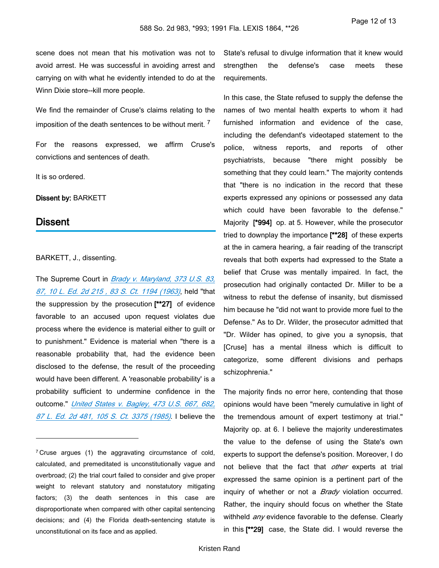scene does not mean that his motivation was not to avoid arrest. He was successful in avoiding arrest and carrying on with what he evidently intended to do at the Winn Dixie store--kill more people.

We find the remainder of Cruse's claims relating to the imposition of the death sentences to be without merit.  $^7$ 

For the reasons expressed, we affirm Cruse's convictions and sentences of death.

It is so ordered.

**Dissent by:** BARKETT

## **Dissent**

#### BARKETT, J., dissenting.

The Supreme Court in *[Brady v. Maryland, 373 U.S. 83,](https://advance.lexis.com/api/document?collection=cases&id=urn:contentItem:3S4X-H400-003B-S2NM-00000-00&context=1000516)  [87, 10 L. Ed. 2d 215 , 83 S. Ct. 1194 \(1963\)](https://advance.lexis.com/api/document?collection=cases&id=urn:contentItem:3S4X-H400-003B-S2NM-00000-00&context=1000516)*, held "that the suppression by the prosecution **[\*\*27]** of evidence favorable to an accused upon request violates due process where the evidence is material either to guilt or to punishment." Evidence is material when "there is a reasonable probability that, had the evidence been disclosed to the defense, the result of the proceeding would have been different. A 'reasonable probability' is a probability sufficient to undermine confidence in the outcome." *[United States v. Bagley, 473 U.S. 667, 682,](https://advance.lexis.com/api/document?collection=cases&id=urn:contentItem:3S4X-9WR0-0039-N477-00000-00&context=1000516)  [87 L. Ed. 2d 481, 105 S. Ct. 3375 \(1985\)](https://advance.lexis.com/api/document?collection=cases&id=urn:contentItem:3S4X-9WR0-0039-N477-00000-00&context=1000516)*. I believe the

State's refusal to divulge information that it knew would strengthen the defense's case meets these requirements.

In this case, the State refused to supply the defense the names of two mental health experts to whom it had furnished information and evidence of the case, including the defendant's videotaped statement to the police, witness reports, and reports of other psychiatrists, because "there might possibly be something that they could learn." The majority contends that "there is no indication in the record that these experts expressed any opinions or possessed any data which could have been favorable to the defense." Majority **[\*994]** op. at 5. However, while the prosecutor tried to downplay the importance **[\*\*28]** of these experts at the in camera hearing, a fair reading of the transcript reveals that both experts had expressed to the State a belief that Cruse was mentally impaired. In fact, the prosecution had originally contacted Dr. Miller to be a witness to rebut the defense of insanity, but dismissed him because he "did not want to provide more fuel to the Defense." As to Dr. Wilder, the prosecutor admitted that "Dr. Wilder has opined, to give you a synopsis, that [Cruse] has a mental illness which is difficult to categorize, some different divisions and perhaps schizophrenia."

The majority finds no error here, contending that those opinions would have been "merely cumulative in light of the tremendous amount of expert testimony at trial." Majority op. at 6. I believe the majority underestimates the value to the defense of using the State's own experts to support the defense's position. Moreover, I do not believe that the fact that *other* experts at trial expressed the same opinion is a pertinent part of the inquiry of whether or not a *Brady* violation occurred. Rather, the inquiry should focus on whether the State withheld *any* evidence favorable to the defense. Clearly in this **[\*\*29]** case, the State did. I would reverse the

<sup>&</sup>lt;sup>7</sup> Cruse argues (1) the aggravating circumstance of cold, calculated, and premeditated is unconstitutionally vague and overbroad; (2) the trial court failed to consider and give proper weight to relevant statutory and nonstatutory mitigating factors; (3) the death sentences in this case are disproportionate when compared with other capital sentencing decisions; and (4) the Florida death-sentencing statute is unconstitutional on its face and as applied.